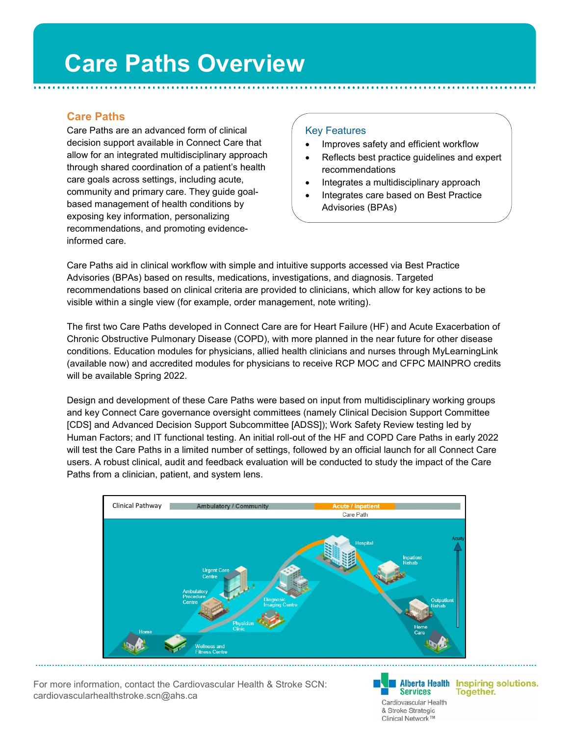# **Care Paths**

Care Paths are an advanced form of clinical decision support available in Connect Care that allow for an integrated multidisciplinary approach through shared coordination of a patient's health care goals across settings, including acute, community and primary care. They guide goalbased management of health conditions by exposing key information, personalizing recommendations, and promoting evidenceinformed care.

## Key Features

- Improves safety and efficient workflow
- Reflects best practice quidelines and expert recommendations
- Integrates a multidisciplinary approach
- Integrates care based on Best Practice Advisories (BPAs)

Care Paths aid in clinical workflow with simple and intuitive supports accessed via Best Practice Advisories (BPAs) based on results, medications, investigations, and diagnosis. Targeted recommendations based on clinical criteria are provided to clinicians, which allow for key actions to be visible within a single view (for example, order management, note writing).

The first two Care Paths developed in Connect Care are for Heart Failure (HF) and Acute Exacerbation of Chronic Obstructive Pulmonary Disease (COPD), with more planned in the near future for other disease conditions. Education modules for physicians, allied health clinicians and nurses through MyLearningLink (available now) and accredited modules for physicians to receive RCP MOC and CFPC MAINPRO credits will be available Spring 2022.

Design and development of these Care Paths were based on input from multidisciplinary working groups and key Connect Care governance oversight committees (namely Clinical Decision Support Committee [CDS] and Advanced Decision Support Subcommittee [ADSS]); Work Safety Review testing led by Human Factors; and IT functional testing. An initial roll-out of the HF and COPD Care Paths in early 2022 will test the Care Paths in a limited number of settings, followed by an official launch for all Connect Care users. A robust clinical, audit and feedback evaluation will be conducted to study the impact of the Care Paths from a clinician, patient, and system lens.



For more information, contact the Cardiovascular Health & Stroke SCN: cardiovascularhealthstroke.scn@ahs.ca

**Services** Cardiovascular Health & Stroke Strategic Clinical Network™

Alberta Health Inspiring solutions. **Together.**